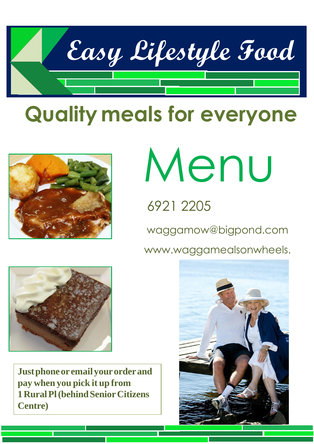

# **Quality meals for everyone**



# Menu

## 6921 2205

[waggamow@bigpond.com](mailto:waggamow@bigpond.com)

www.waggamealsonwheels.



**Justphoneor emailyourorderand pay when you pick it up from 1RuralPl(behindSeniorCitizens Centre)**

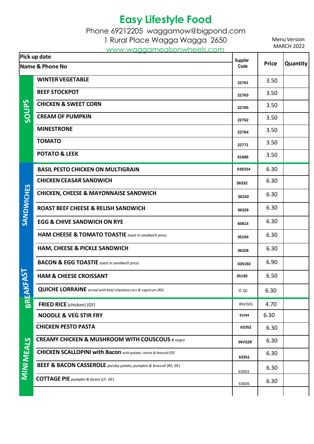Phone 69212205 [waggamow@bigpond.com](mailto:waggamow@bigpond.com)

1 Rural Place Wagga Wagga 2650

[www.waggamealsonwheels.com](http://www.waggamealsonwheels.com/)

| <u>www.wugganicasonwiccis.com</u><br>Pick up date |                                                                               | Supplier      | <b>Price</b> | Quantity |
|---------------------------------------------------|-------------------------------------------------------------------------------|---------------|--------------|----------|
| Name & Phone No                                   |                                                                               | Code          |              |          |
| <b>SQUDS</b>                                      | <b>WINTER VEGETABLE</b>                                                       | 22761         | 3.50         |          |
|                                                   | <b>BEEF STOCKPOT</b>                                                          | 22763         | 3.50         |          |
|                                                   | <b>CHICKEN &amp; SWEET CORN</b>                                               | 22765         | 3.50         |          |
|                                                   | <b>CREAM OF PUMPKIN</b>                                                       | 22762         | 3.50         |          |
|                                                   | <b>MINESTRONE</b>                                                             | 22764         | 3.50         |          |
|                                                   | <b>TOMATO</b>                                                                 | 22771         | 3.50         |          |
|                                                   | <b>POTATO &amp; LEEK</b>                                                      | 61686         | 3.50         |          |
|                                                   | <b>BASIL PESTO CHICKEN ON MULTIGRAIN</b>                                      | 036334        | 6.30         |          |
|                                                   | <b>CHICKEN CEASAR SANDWICH</b>                                                | 36332         | 6.30         |          |
| <b>SANDWICHES</b>                                 | <b>CHICKEN, CHEESE &amp; MAYONNAISE SANDWICH</b>                              | 36330         | 6.30         |          |
|                                                   | <b>ROAST BEEF CHEESE &amp; RELISH SANDWICH</b>                                | 36329         | 6.30         |          |
|                                                   | <b>EGG &amp; CHIVE SANDWICH ON RYE</b>                                        | 50814         | 6.30         |          |
|                                                   | <b>HAM CHEESE &amp; TOMATO TOASTIE</b> toast in sandwich press                | 35194         | 6.30         |          |
|                                                   | HAM, CHEESE & PICKLE SANDWICH                                                 | 36328         | 6.30         |          |
| KEAST                                             | <b>BACON &amp; EGG TOASTIE</b> toast in sandwich press                        | 035192        | 6.90         |          |
|                                                   | <b>HAM &amp; CHEESE CROISSANT</b>                                             | 35195         | 6.50         |          |
|                                                   | <b>QUICHE LORRAINE</b> served with beef chipolata corn & capsicum (RS)        | G QL          | 6.30         |          |
| <b>BREAK</b><br><b>MINI MEALS</b>                 | FRIED RICE (chicken) (GF)                                                     | INVS01        | 4.70         |          |
|                                                   | <b>NOODLE &amp; VEG STIR FRY</b>                                              | 63354         | 6.30         |          |
|                                                   | <b>CHICKEN PESTO PASTA</b>                                                    | 63352         | 6.30         |          |
|                                                   | <b>CREAMY CHICKEN &amp; MUSHROOM WITH COUSCOUS &amp; veges</b>                | <b>INVS29</b> | 6.30         |          |
|                                                   | <b>CHICKEN SCALLOPINI with Bacon</b> with potato, carrot & broccoli (GF       | 63351         | 6.30         |          |
|                                                   | <b>BEEF &amp; BACON CASSEROLE</b> parsley potato, pumpkin & broccoli (RS, GF) | 63003         | 6.30         |          |
|                                                   | <b>COTTAGE PIE</b> pumpkin & beans (LF, GF)                                   | 63005         | 6.30         |          |
|                                                   |                                                                               |               |              |          |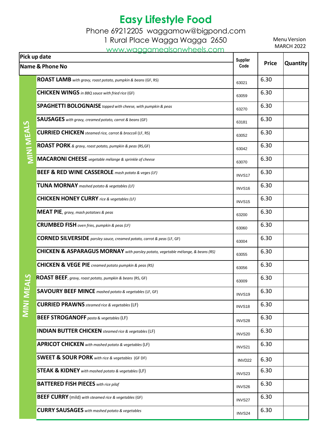Phone 69212205 [waggamow@bigpond.com](mailto:waggamow@bigpond.com)

1 Rural Place Wagga Wagga 2650

[www.waggamealsonwheels.com](http://www.waggamealsonwheels.com/)

| Pick up date               |                                                                                 | <b>Supplier</b>    |              |          |
|----------------------------|---------------------------------------------------------------------------------|--------------------|--------------|----------|
| <b>Name &amp; Phone No</b> |                                                                                 | Code               | <b>Price</b> | Quantity |
|                            | ROAST LAMB with gravy, roast potato, pumpkin & beans (GF, RS)                   | 63021              | 6.30         |          |
|                            | <b>CHICKEN WINGS</b> in BBQ sauce with fried rice (GF)                          | 63059              | 6.30         |          |
|                            | <b>SPAGHETTI BOLOGNAISE</b> topped with cheese, with pumpkin & peas             | 63270              | 6.30         |          |
| <b>MINI MEALS</b>          | <b>SAUSAGES</b> with gravy, creamed potato, carrot & beans (GF)                 | 63181              | 6.30         |          |
|                            | <b>CURRIED CHICKEN</b> steamed rice, carrot & broccoli (LF, RS)                 | 63052              | 6.30         |          |
|                            | ROAST PORK & gravy, roast potato, pumpkin & peas (RS,GF)                        | 63042              | 6.30         |          |
|                            | MACARONI CHEESE vegetable mélange & sprinkle of cheese                          | 63070              | 6.30         |          |
|                            | <b>BEEF &amp; RED WINE CASSEROLE</b> mash potato & veges (LF)                   | INVS17             | 6.30         |          |
|                            | <b>TUNA MORNAY</b> mashed potato & vegetables (LF)                              | INVS16             | 6.30         |          |
|                            | <b>CHICKEN HONEY CURRY</b> rice & vegetables (LF)                               | INVS15             | 6.30         |          |
|                            | <b>MEAT PIE</b> , gravy, mash potatoes & peas                                   | 63200              | 6.30         |          |
|                            | <b>CRUMBED FISH</b> oven fries, pumpkin & peas (LF)                             | 63060              | 6.30         |          |
|                            | <b>CORNED SILVERSIDE</b> parsley sauce, creamed potato, carrot & peas (LF, GF)  | 63004              | 6.30         |          |
|                            | CHICKEN & ASPARAGUS MORNAY with parsley potato, vegetable mélange, & beans (RS) | 63055              | 6.30         |          |
|                            | <b>CHICKEN &amp; VEGE PIE</b> creamed potato pumpkin & peas (RS)                | 63056              | 6.30         |          |
|                            | ROAST BEEF, gravy, roast potato, pumpkin & beans (RS, GF)                       | 63009              | 6.30         |          |
|                            | <b>SAVOURY BEEF MINCE</b> mashed potato & vegetables (LF, GF)                   | INVS19             | 6.30         |          |
| <b>MINI ME</b>             | <b>CURRIED PRAWNS</b> steamed rice & vegetables (LF)                            | INVS18             | 6.30         |          |
|                            | <b>BEEF STROGANOFF</b> pasta & vegetables (LF)                                  | INVS28             | 6.30         |          |
|                            | <b>INDIAN BUTTER CHICKEN</b> steamed rice & vegetables (LF)                     | INVS20             | 6.30         |          |
|                            | <b>APRICOT CHICKEN</b> with mashed potato & vegetables (LF)                     | INVS21             | 6.30         |          |
|                            | <b>SWEET &amp; SOUR PORK</b> with rice & vegetables (GF DF)                     | INVD <sub>22</sub> | 6.30         |          |
|                            | <b>STEAK &amp; KIDNEY</b> with mashed potato & vegetables (LF)                  | INVS <sub>23</sub> | 6.30         |          |
|                            | <b>BATTERED FISH PIECES</b> with rice pilaf                                     | INVS26             | 6.30         |          |
|                            | <b>BEEF CURRY</b> (mild) with steamed rice & vegetables (GF)                    | INVS27             | 6.30         |          |
|                            | <b>CURRY SAUSAGES</b> with mashed potato & vegetables                           | INVS24             | 6.30         |          |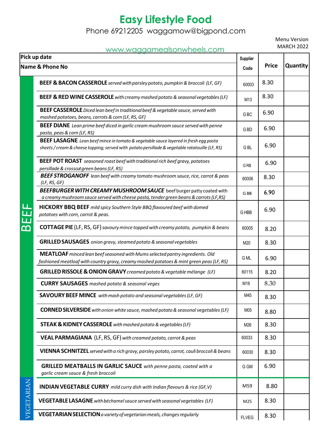Phone 69212205 [waggamow@bigpond.com](mailto:waggamow@bigpond.com)

Menu Version MARCH 2022

#### [www.waggamealsonwheels.com](http://www.waggamealsonwheels.com/)

| <u>www.waggamealsonwheels.com</u><br>Pick up date<br><b>Name &amp; Phone No</b>                                                                                                               |                                                                                                                 | <b>Supplier</b><br>Code | <b>Price</b> | <b>Quantity</b> |
|-----------------------------------------------------------------------------------------------------------------------------------------------------------------------------------------------|-----------------------------------------------------------------------------------------------------------------|-------------------------|--------------|-----------------|
|                                                                                                                                                                                               |                                                                                                                 |                         |              |                 |
| <b>BEEF &amp; RED WINE CASSEROLE</b> with creamy mashed potato & seasonal vegetables (LF)                                                                                                     | M13                                                                                                             | 8.30                    |              |                 |
| <b>BEEF CASSEROLE</b> Diced lean beef in traditional beef & vegetable sauce, served with<br>mashed potatoes, beans, carrots & corn (LF, RS, GF)                                               | GBC                                                                                                             | 6.90                    |              |                 |
| <b>BEEF DIANE</b> Lean prime beef diced in garlic cream mushroom sauce served with penne<br>pasta, peas & corn (LF, RS)                                                                       | G <sub>BD</sub>                                                                                                 | 6.90                    |              |                 |
| <b>BEEF LASAGNE</b> Lean beef mince in tomato & vegetable sauce layered in fresh egg pasta<br>sheets / cream & cheese topping; served with potato persillade & vegetable ratatouille (LF, RS) | G <sub>BL</sub>                                                                                                 | 6.90                    |              |                 |
| <b>BEEF POT ROAST</b> seasoned roast beef with traditional rich beef gravy, potatoes<br>persillade & crosscut green beans (LF, RS)                                                            | G <sub>RB</sub>                                                                                                 | 6.90                    |              |                 |
| <b>BEEF STROGANOFF</b> lean beef with creamy tomato mushroom sauce, rice, carrot & peas<br>(LF, RS, GF)                                                                                       | 60006                                                                                                           | 8.30                    |              |                 |
| BEEFBURGER WITH CREAMY MUSHROOM SAUCE beef burger patty coated with<br>a creamy mushroom sauce served with cheese pasta, tender green beans & carrots (LF, RS)                                | G BB                                                                                                            | 6.90                    |              |                 |
| <b>HICKORY BBQ BEEF</b> mild spicy Southern Style BBQ flavoured beef with domed<br>potatoes with corn, carrot & peas.                                                                         | G HBB                                                                                                           | 6.90                    |              |                 |
| <b>COTTAGE PIE</b> (LF, RS, GF) savoury mince topped with creamy potato, pumpkin & beans                                                                                                      | 60005                                                                                                           | 8.20                    |              |                 |
| <b>GRILLED SAUSAGES</b> onion gravy, steamed potato & seasonal vegetables                                                                                                                     | M20                                                                                                             | 8.30                    |              |                 |
| MEATLOAF minced lean beef seasoned with Mums selected pantry ingredients. Old<br>fashioned meatloaf with country gravy, creamy mashed potatoes & mint green peas (LF, RS)                     | G ML                                                                                                            | 6.90                    |              |                 |
|                                                                                                                                                                                               | GRILLED RISSOLE & ONION GRAVY creamed potato & vegetable mélange (LF)                                           | 60115                   | 8.20         |                 |
|                                                                                                                                                                                               | <b>CURRY SAUSAGES</b> mashed potato & seasonal veges                                                            | M16                     | 8.30         |                 |
|                                                                                                                                                                                               | <b>SAVOURY BEEF MINCE</b> with mash potato and seasonal vegetables (LF, GF)                                     | M45                     | 8.30         |                 |
| VEGETARIAN                                                                                                                                                                                    | <b>CORNED SILVERSIDE</b> with onion white sauce, mashed potato & seasonal vegetables (LF)                       | M05                     | 8.80         |                 |
|                                                                                                                                                                                               | <b>STEAK &amp; KIDNEY CASSEROLE</b> with mashed potato & vegetables (LF)                                        | M26                     | 8.30         |                 |
|                                                                                                                                                                                               | <b>VEAL PARMAGIANA</b> (LF, RS, GF) with creamed potato, carrot & peas                                          | 60033                   | 8.30         |                 |
|                                                                                                                                                                                               | VIENNA SCHNITZEL served with a rich gravy, parsley potato, carrot, cauli broccoli & beans                       | 60030                   | 8.30         |                 |
|                                                                                                                                                                                               | <b>GRILLED MEATBALLS IN GARLIC SAUCE</b> with penne pasta, coated with a<br>garlic cream sauce & fresh broccoli | G GM                    | 6.90         |                 |
|                                                                                                                                                                                               | <b>INDIAN VEGETABLE CURRY</b> mild curry dish with Indian flavours & rice (GF, V)                               | M59                     | 8.80         |                 |
|                                                                                                                                                                                               | <b>VEGETABLE LASAGNE</b> with béchamel sauce served with seasonal vegetables (LF)                               | M25                     | 8.30         |                 |
|                                                                                                                                                                                               | <b>VEGETARIAN SELECTION</b> a variety of vegetarian meals, changes regularly                                    | <b>FLVEG</b>            | 8.30         |                 |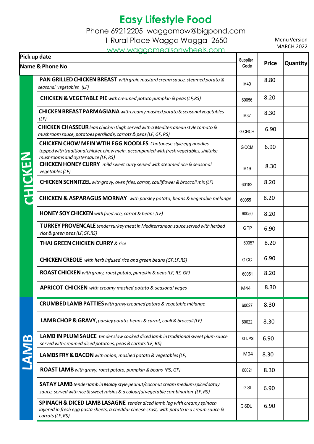Phone 69212205 [waggamow@bigpond.com](mailto:waggamow@bigpond.com)

1 Rural Place Wagga Wagga 2650

[www.waggamealsonwheels.com](http://www.waggamealsonwheels.com/)

| Pick up date               |                                                                                                                                                                                                        | Supplier   |              |          |
|----------------------------|--------------------------------------------------------------------------------------------------------------------------------------------------------------------------------------------------------|------------|--------------|----------|
| <b>Name &amp; Phone No</b> |                                                                                                                                                                                                        | Code       | <b>Price</b> | Quantity |
|                            | PAN GRILLED CHICKEN BREAST with grain mustard cream sauce, steamed potato &<br>seasonal vegetables (LF)                                                                                                | M40        | 8.80         |          |
| $\mathbf{Z}$               | <b>CHICKEN &amp; VEGETABLE PIE</b> with creamed potato pumpkin & peas (LF, RS)                                                                                                                         | 60056      | 8.20         |          |
|                            | <b>CHICKEN BREAST PARMAGIANA</b> with creamy mashed potato & seasonal vegetables<br>(LF)                                                                                                               | M37        | 8.30         |          |
|                            | CHICKEN CHASSEUR lean chicken thigh served with a Mediterranean style tomato &<br>mushroom sauce, potatoes persillade, carrots & peas (LF, GF, RS)                                                     | G CHCH     | 6.90         |          |
|                            | <b>CHICKEN CHOW MEIN WTIH EGG NOODLES</b> Cantonese style egg noodles<br>topped with traditional chicken chow mein, accompanied with fresh vegetables, shiitake<br>mushrooms and oyster sauce (LF, RS) | G CCM      | 6.90         |          |
|                            | <b>CHICKEN HONEY CURRY</b> mild sweet curry served with steamed rice & seasonal<br>vegetables (LF)                                                                                                     | M19        | 8.30         |          |
|                            | CHICKEN SCHNITZEL with gravy, oven fries, carrot, cauliflower & broccoli mix (LF)                                                                                                                      | 60182      | 8.20         |          |
|                            | <b>CHICKEN &amp; ASPARAGUS MORNAY</b> with parsley potato, beans & vegetable mélange                                                                                                                   | 60055      | 8.20         |          |
|                            | <b>HONEY SOY CHICKEN</b> with fried rice, carrot & beans (LF)                                                                                                                                          | 60050      | 8.20         |          |
|                            | <b>TURKEY PROVENCALE</b> tender turkey meat in Mediterranean sauce served with herbed<br>rice & green peas (LF, GF, RS)                                                                                | <b>GTP</b> | 6.90         |          |
|                            | <b>THAI GREEN CHICKEN CURRY &amp; rice</b>                                                                                                                                                             | 60057      | 8.20         |          |
|                            | <b>CHICKEN CREOLE</b> with herb infused rice and green beans (GF, LF, RS)                                                                                                                              | G CC       | 6.90         |          |
|                            | <b>ROAST CHICKEN</b> with gravy, roast potato, pumpkin & peas (LF, RS, GF)                                                                                                                             | 60051      | 8.20         |          |
|                            | <b>APRICOT CHICKEN</b> with creamy mashed potato & seasonal veges                                                                                                                                      | M44        | 8.30         |          |
|                            | <b>CRUMBED LAMB PATTIES</b> with gravy creamed potato & vegetable mélange                                                                                                                              | 60027      | 8.30         |          |
| <u>re</u>                  | <b>LAMB CHOP &amp; GRAVY</b> , parsley potato, beans & carrot, cauli & broccoli (LF)                                                                                                                   | 60022      | 8.30         |          |
|                            | LAMB IN PLUM SAUCE tender slow cooked diced lamb in traditional sweet plum sauce<br>served with creamed diced potatoes, peas & carrots (LF, RS)                                                        | G LPS      | 6.90         |          |
|                            | LAMBS FRY & BACON with onion, mashed potato & vegetables (LF)                                                                                                                                          | M04        | 8.30         |          |
|                            | <b>ROAST LAMB</b> with gravy, roast potato, pumpkin & beans (RS, GF)                                                                                                                                   | 60021      | 8.30         |          |
|                            | <b>SATAY LAMB</b> tender lamb in Malay style peanut/coconut cream medium spiced satay<br>sauce, served with rice & sweet raisins & a colourful vegetable combination (LF, RS)                          | G SL       | 6.90         |          |
|                            | <b>SPINACH &amp; DICED LAMB LASAGNE</b> tender diced lamb leg with creamy spinach<br>layered in fresh egg pasta sheets, a cheddar cheese crust, with potato in a cream sauce &<br>carrots (LF, RS)     | G SDL      | 6.90         |          |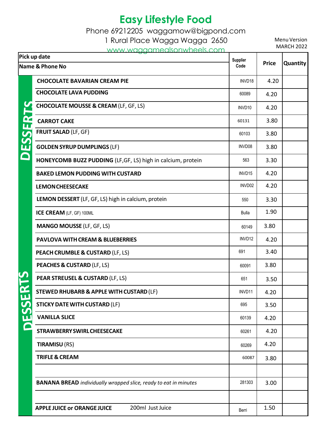Phone 69212205 [waggamow@bigpond.com](mailto:waggamow@bigpond.com)

1 Rural Place Wagga Wagga 2650

[www.waggamealsonwheels.com](http://www.waggamealsonwheels.com/)

| Pick up date    |                                                                         | Supplier<br>Code | <b>Price</b> | <b>Quantity</b> |
|-----------------|-------------------------------------------------------------------------|------------------|--------------|-----------------|
| Name & Phone No |                                                                         |                  |              |                 |
| DESSER          | <b>CHOCOLATE BAVARIAN CREAM PIE</b>                                     | INVD18           | 4.20         |                 |
|                 | <b>CHOCOLATE LAVA PUDDING</b>                                           | 60089            | 4.20         |                 |
|                 | <b>CHOCOLATE MOUSSE &amp; CREAM (LF, GF, LS)</b>                        | INVD10           | 4.20         |                 |
|                 | <b>CARROT CAKE</b>                                                      | 60131            | 3.80         |                 |
|                 | <b>FRUIT SALAD (LF, GF)</b>                                             | 60103            | 3.80         |                 |
|                 | <b>GOLDEN SYRUP DUMPLINGS (LF)</b>                                      | INVD08           | 3.80         |                 |
|                 | HONEYCOMB BUZZ PUDDING (LF, GF, LS) high in calcium, protein            | 563              | 3.30         |                 |
|                 | <b>BAKED LEMON PUDDING WITH CUSTARD</b>                                 | INVD15           | 4.20         |                 |
|                 | <b>LEMON CHEESECAKE</b>                                                 | INVD02           | 4.20         |                 |
|                 | LEMON DESSERT (LF, GF, LS) high in calcium, protein                     | 550              | 3.30         |                 |
|                 | ICE CREAM (LF, GF) 100ML                                                | <b>Bulla</b>     | 1.90         |                 |
|                 | <b>MANGO MOUSSE (LF, GF, LS)</b>                                        | 60149            | 3.80         |                 |
|                 | <b>PAVLOVA WITH CREAM &amp; BLUEBERRIES</b>                             | INVD12           | 4.20         |                 |
|                 | PEACH CRUMBLE & CUSTARD (LF, LS)                                        | 691              | 3.40         |                 |
|                 | <b>PEACHES &amp; CUSTARD (LF, LS)</b>                                   | 60091            | 3.80         |                 |
|                 | PEAR STREUSEL & CUSTARD (LF, LS)                                        | 651              | 3.50         |                 |
|                 | <b>STEWED RHUBARB &amp; APPLE WITH CUSTARD (LF)</b>                     | INVD11           | 4.20         |                 |
| ESSER           | <b>STICKY DATE WITH CUSTARD (LF)</b>                                    | 695              | 3.50         |                 |
|                 | <b>VANILLA SLICE</b>                                                    | 60139            | 4.20         |                 |
|                 | <b>STRAWBERRY SWIRL CHEESECAKE</b>                                      | 60261            | 4.20         |                 |
|                 | <b>TIRAMISU (RS)</b>                                                    | 60269            | 4.20         |                 |
|                 | <b>TRIFLE &amp; CREAM</b>                                               | 60087            | 3.80         |                 |
|                 |                                                                         |                  |              |                 |
|                 | <b>BANANA BREAD</b> individually wrapped slice, ready to eat in minutes | 281303           | 3.00         |                 |
|                 |                                                                         |                  |              |                 |
|                 | 200ml Just Juice<br><b>APPLE JUICE or ORANGE JUICE</b>                  | Berri            | 1.50         |                 |